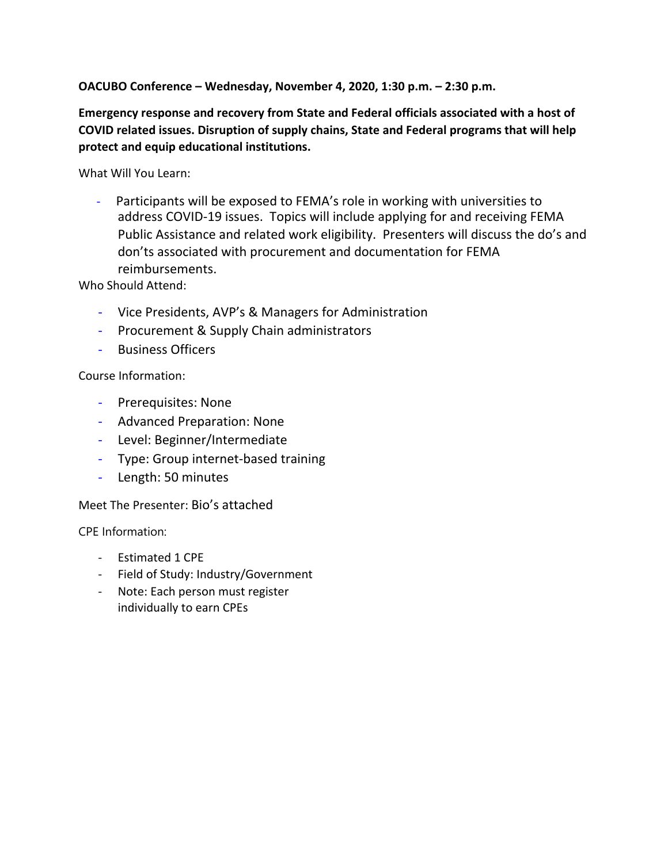## **OACUBO Conference – Wednesday, November 4, 2020, 1:30 p.m. – 2:30 p.m.**

**Emergency response and recovery from State and Federal officials associated with a host of COVID related issues. Disruption of supply chains, State and Federal programs that will help protect and equip educational institutions.**

What Will You Learn:

Participants will be exposed to FEMA's role in working with universities to address COVID-19 issues. Topics will include applying for and receiving FEMA Public Assistance and related work eligibility. Presenters will discuss the do's and don'ts associated with procurement and documentation for FEMA reimbursements.

Who Should Attend:

- Vice Presidents, AVP's & Managers for Administration
- Procurement & Supply Chain administrators
- Business Officers

## Course Information:

- Prerequisites: None
- Advanced Preparation: None
- Level: Beginner/Intermediate
- Type: Group internet-based training
- Length: 50 minutes

## Meet The Presenter: Bio's attached

CPE Information:

- Estimated 1 CPE
- Field of Study: Industry/Government
- Note: Each person must register individually to earn CPEs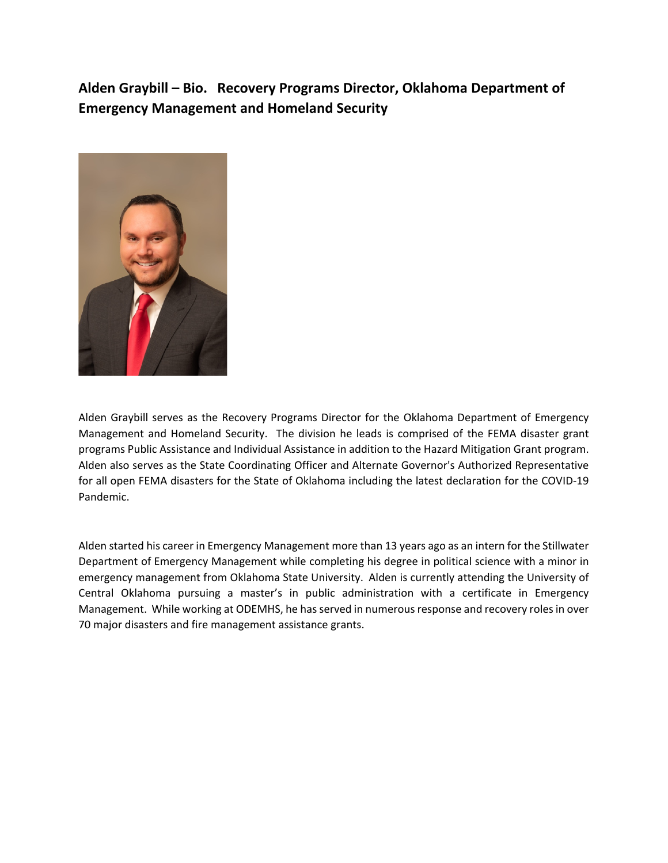**Alden Graybill – Bio. Recovery Programs Director, Oklahoma Department of Emergency Management and Homeland Security**



Alden Graybill serves as the Recovery Programs Director for the Oklahoma Department of Emergency Management and Homeland Security. The division he leads is comprised of the FEMA disaster grant programs Public Assistance and Individual Assistance in addition to the Hazard Mitigation Grant program. Alden also serves as the State Coordinating Officer and Alternate Governor's Authorized Representative for all open FEMA disasters for the State of Oklahoma including the latest declaration for the COVID-19 Pandemic.

Alden started his career in Emergency Management more than 13 years ago as an intern for the Stillwater Department of Emergency Management while completing his degree in political science with a minor in emergency management from Oklahoma State University. Alden is currently attending the University of Central Oklahoma pursuing a master's in public administration with a certificate in Emergency Management. While working at ODEMHS, he has served in numerous response and recovery roles in over 70 major disasters and fire management assistance grants.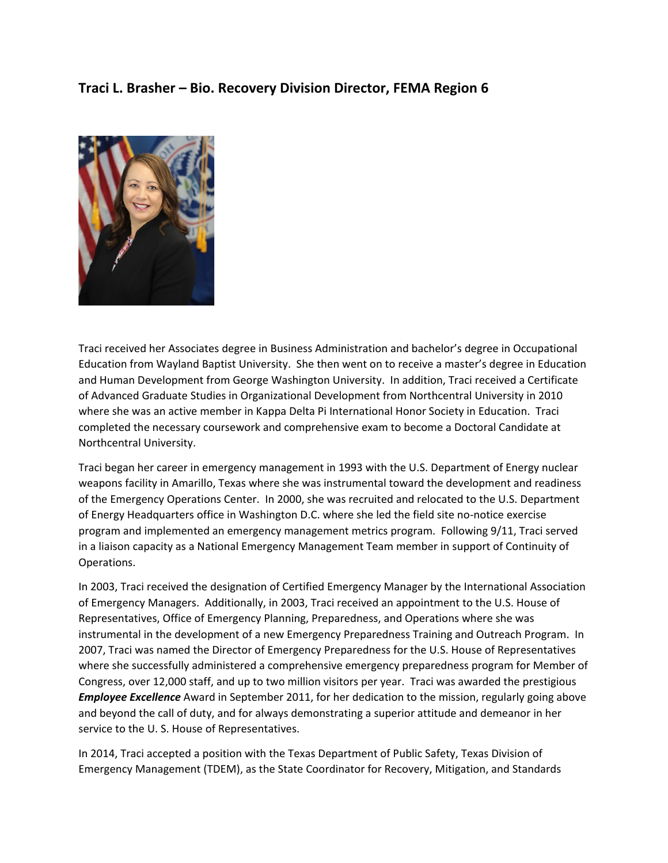## **Traci L. Brasher – Bio. Recovery Division Director, FEMA Region 6**



Traci received her Associates degree in Business Administration and bachelor's degree in Occupational Education from Wayland Baptist University. She then went on to receive a master's degree in Education and Human Development from George Washington University. In addition, Traci received a Certificate of Advanced Graduate Studies in Organizational Development from Northcentral University in 2010 where she was an active member in Kappa Delta Pi International Honor Society in Education. Traci completed the necessary coursework and comprehensive exam to become a Doctoral Candidate at Northcentral University.

Traci began her career in emergency management in 1993 with the U.S. Department of Energy nuclear weapons facility in Amarillo, Texas where she was instrumental toward the development and readiness of the Emergency Operations Center. In 2000, she was recruited and relocated to the U.S. Department of Energy Headquarters office in Washington D.C. where she led the field site no-notice exercise program and implemented an emergency management metrics program. Following 9/11, Traci served in a liaison capacity as a National Emergency Management Team member in support of Continuity of Operations.

In 2003, Traci received the designation of Certified Emergency Manager by the International Association of Emergency Managers. Additionally, in 2003, Traci received an appointment to the U.S. House of Representatives, Office of Emergency Planning, Preparedness, and Operations where she was instrumental in the development of a new Emergency Preparedness Training and Outreach Program. In 2007, Traci was named the Director of Emergency Preparedness for the U.S. House of Representatives where she successfully administered a comprehensive emergency preparedness program for Member of Congress, over 12,000 staff, and up to two million visitors per year. Traci was awarded the prestigious *Employee Excellence* Award in September 2011, for her dedication to the mission, regularly going above and beyond the call of duty, and for always demonstrating a superior attitude and demeanor in her service to the U. S. House of Representatives.

In 2014, Traci accepted a position with the Texas Department of Public Safety, Texas Division of Emergency Management (TDEM), as the State Coordinator for Recovery, Mitigation, and Standards